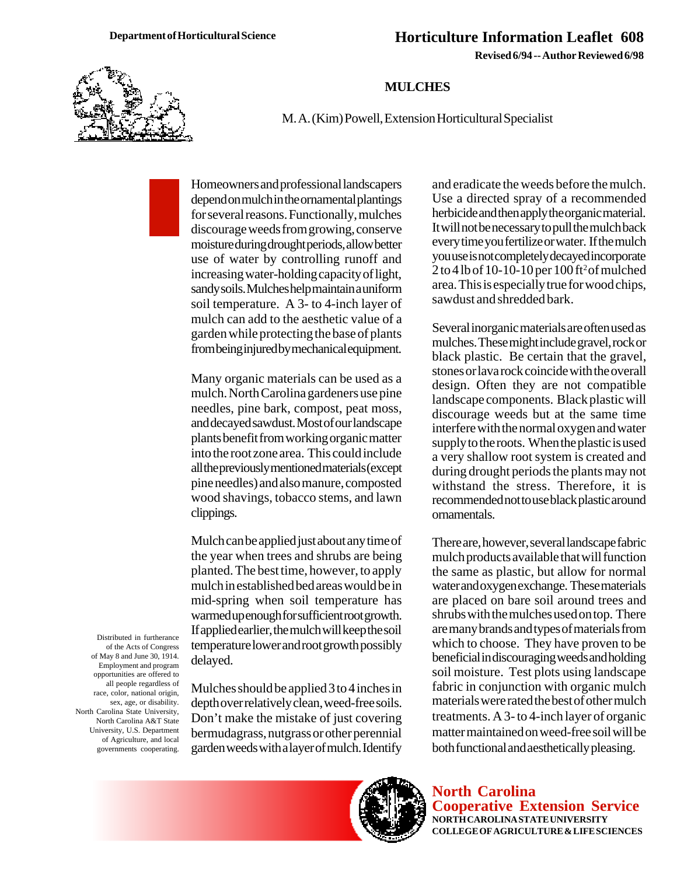**Revised 6/94 -- Author Reviewed 6/98**

## **MULCHES**

M. A. (Kim) Powell, Extension Horticultural Specialist

Homeowners and professional landscapers depend on mulch in the ornamental plantings for several reasons. Functionally, mulches discourage weeds from growing, conserve moisture during drought periods, allow better use of water by controlling runoff and increasing water-holding capacity of light, sandy soils. Mulches help maintain a uniform soil temperature. A 3- to 4-inch layer of mulch can add to the aesthetic value of a garden while protecting the base of plants from being injured by mechanical equipment.

Many organic materials can be used as a mulch. North Carolina gardeners use pine needles, pine bark, compost, peat moss, and decayed sawdust. Most of our landscape plants benefit from working organic matter into the root zone area. This could include all the previously mentioned materials (except pine needles) and also manure, composted wood shavings, tobacco stems, and lawn clippings.

Mulch can be applied just about any time of the year when trees and shrubs are being planted. The best time, however, to apply mulch in established bed areas would be in mid-spring when soil temperature has warmed up enough for sufficient root growth. If applied earlier, the mulch will keep the soil temperature lower and root growth possibly delayed.

Mulches should be applied 3 to 4 inches in depth over relatively clean, weed-free soils. Don't make the mistake of just covering bermudagrass, nutgrass or other perennial garden weeds with a layer of mulch. Identify and eradicate the weeds before the mulch. Use a directed spray of a recommended herbicide and then apply the organic material. It will not be necessary to pull the mulch back every time you fertilize or water. If the mulch you use is not completely decayed incorporate  $2$  to 4 lb of 10-10-10 per 100 ft<sup>2</sup> of mulched area. This is especially true for wood chips, sawdust and shredded bark.

Several inorganic materials are often used as mulches. These might include gravel, rock or black plastic. Be certain that the gravel, stones or lava rock coincide with the overall design. Often they are not compatible landscape components. Black plastic will discourage weeds but at the same time interfere with the normal oxygen and water supply to the roots. When the plastic is used a very shallow root system is created and during drought periods the plants may not withstand the stress. Therefore, it is recommended not to use black plastic around ornamentals.

There are, however, several landscape fabric mulch products available that will function the same as plastic, but allow for normal water and oxygen exchange. These materials are placed on bare soil around trees and shrubs with the mulches used on top. There are many brands and types of materials from which to choose. They have proven to be beneficial in discouraging weeds and holding soil moisture. Test plots using landscape fabric in conjunction with organic mulch materials were rated the best of other mulch treatments. A 3- to 4-inch layer of organic matter maintained on weed-free soil will be both functional and aesthetically pleasing.

**North Carolina Cooperative Extension Service NORTH CAROLINA STATE UNIVERSITY COLLEGE OF AGRICULTURE & LIFE SCIENCES**

Distributed in furtherance of the Acts of Congress of May 8 and June 30, 1914. Employment and program opportunities are offered to all people regardless of race, color, national origin, sex, age, or disability. North Carolina State University, North Carolina A&T State University, U.S. Department of Agriculture, and local governments cooperating.